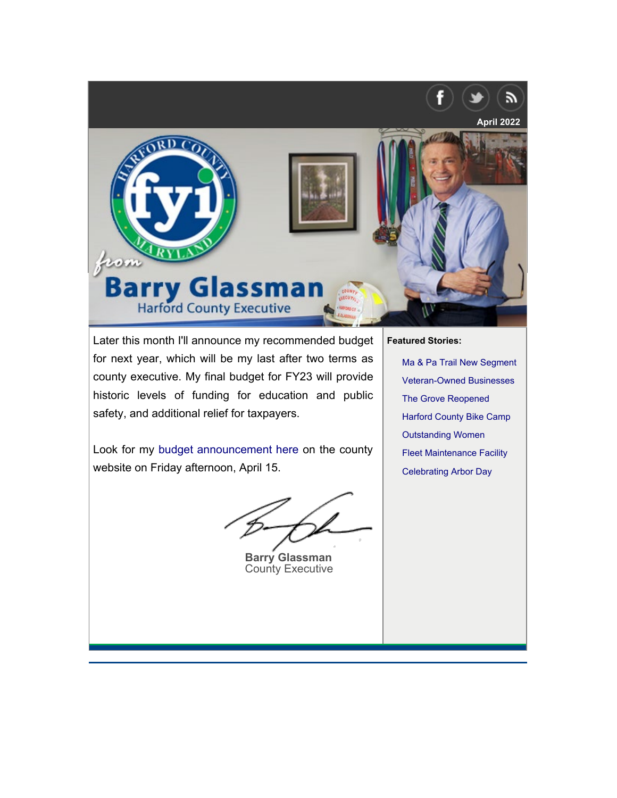<span id="page-0-0"></span>

Later this month I'll announce my recommended budget for next year, which will be my last after two terms as county executive. My final budget for FY23 will provide historic levels of funding for education and public safety, and additional relief for taxpayers.

Look for my [budget announcement here](https://www.harfordcountymd.gov/1531/Budget-Efficiency) on the county website on Friday afternoon, April 15.

**Barry Glassman** County Executive

**Fe[atured Stories:](#page-2-0)**

[Ma & Pa Trail New Segmen](#page-2-1)t [Veteran-Owned Busi](#page-3-0)nesses [The Grove Reopened](#page-3-1) [Harford County Bike C](#page-4-0)amp Outstanding Women Fleet Maintenance Facility Celebrating Arbor Day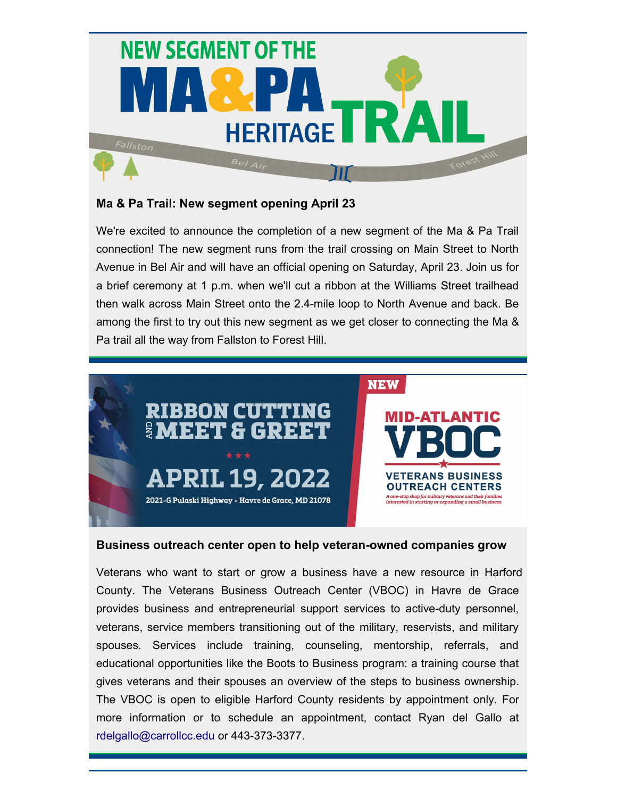

# **Ma & Pa Trail: New segment opening April 23**

We're excited to announce the completion of a new segment of the Ma & Pa Trail connection! The new segment runs from the trail crossing on Main Street to North Avenue in Bel Air and will have an official opening on Saturday, April 23. Join us for a brief ceremony at 1 p.m. when we'll cut a ribbon at the Williams Street trailhead then walk across Main Street onto the 2.4-mile loop to North Avenue and back. Be among the first to try out this new segment as we get closer to connecting the Ma & Pa trail all the way from Fallston to Forest Hill.



### **Business outreach center open to help veteran-owned companies grow**

Veterans who want to start or grow a business have a new resource in Harford County. The Veterans Business Outreach Center (VBOC) in Havre de Grace provides business and entrepreneurial support services to active-duty personnel, veterans, service members transitioning out of the military, reservists, and military spouses. Services include training, counseling, mentorship, referrals, and educational opportunities like the Boots to Business program: a training course that gives veterans and their spouses an overview of the steps to business ownership. The VBOC is open to eligible Harford County residents by appointment only. For more information or to schedule an appointment, contact Ryan del Gallo at [rdelgallo@carrollcc.edu](mailto:rdelgallo@carrollcc.edu) or 443-373-3377.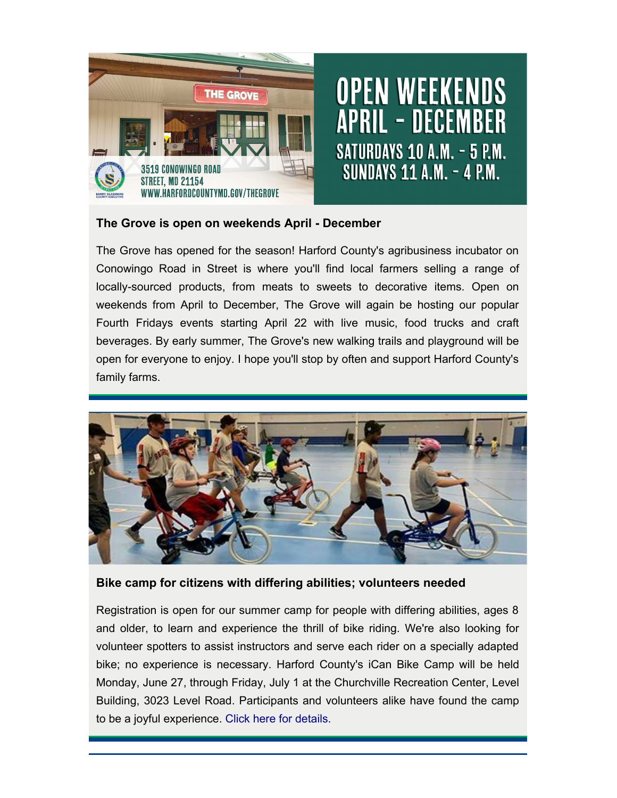

## <span id="page-2-0"></span>**The Grove is open on weekends April - December**

The Grove has opened for the season! Harford County's agribusiness incubator on Conowingo Road in Street is where you'll find local farmers selling a range of locally-sourced products, from meats to sweets to decorative items. Open on weekends from April to December, The Grove will again be hosting our popular Fourth Fridays events starting April 22 with live music, food trucks and craft beverages. By early summer, The Grove's new walking trails and playground will be open for everyone to enjoy. I hope you'll stop by often and support Harford County's family farms.



## <span id="page-2-1"></span>**Bike camp for citizens with differing abilities; volunteers needed**

Registration is open for our summer camp for people with differing abilities, ages 8 and older, to learn and experience the thrill of bike riding. We're also looking for volunteer spotters to assist instructors and serve each rider on a specially adapted bike; no experience is necessary. Harford County's iCan Bike Camp will be held Monday, June 27, through Friday, July 1 at the Churchville Recreation Center, Level Building, 3023 Level Road. Participants and volunteers alike have found the camp to be a joyful experience. [Click here for details.](https://www.harfordcountymd.gov/3368/31038/Harford-County-Bike-Camp)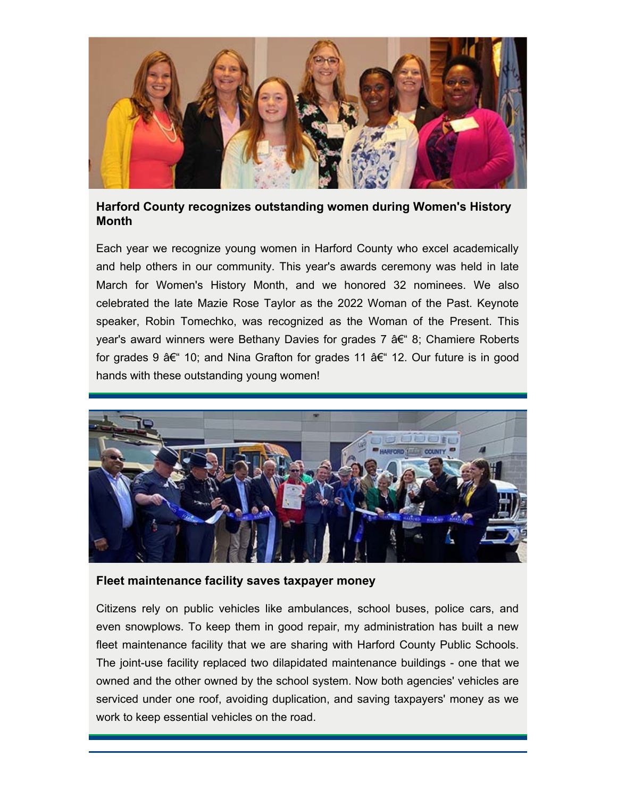

## <span id="page-3-0"></span>**Harford County recognizes outstanding women during Women's History Month**

Each year we recognize young women in Harford County who excel academically and help others in our community. This year's awards ceremony was held in late March for Women's History Month, and we honored 32 nominees. We also celebrated the late Mazie Rose Taylor as the 2022 Woman of the Past. Keynote speaker, Robin Tomechko, was recognized as the Woman of the Present. This year's award winners were Bethany Davies for grades 7  $a \in \mathscr{C}$  8; Chamiere Roberts for grades 9  $\hat{a} \in \hat{B}$  10; and Nina Grafton for grades 11  $\hat{a} \in \hat{B}$  12. Our future is in good hands with these outstanding young women!



### <span id="page-3-1"></span>**Fleet maintenance facility saves taxpayer money**

Citizens rely on public vehicles like ambulances, school buses, police cars, and even snowplows. To keep them in good repair, my administration has built a new fleet maintenance facility that we are sharing with Harford County Public Schools. The joint-use facility replaced two dilapidated maintenance buildings - one that we owned and the other owned by the school system. Now both agencies' vehicles are serviced under one roof, avoiding duplication, and saving taxpayers' money as we work to keep essential vehicles on the road.